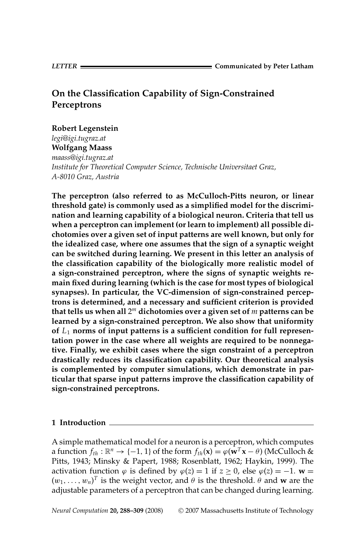# **On the Classification Capability of Sign-Constrained Perceptrons**

# **Robert Legenstein**

*legi@igi.tugraz.at* **Wolfgang Maass**

*maass@igi.tugraz.at Institute for Theoretical Computer Science, Technische Universitaet Graz, A-8010 Graz, Austria*

**The perceptron (also referred to as McCulloch-Pitts neuron, or linear threshold gate) is commonly used as a simplified model for the discrimination and learning capability of a biological neuron. Criteria that tell us when a perceptron can implement (or learn to implement) all possible dichotomies over a given set of input patterns are well known, but only for the idealized case, where one assumes that the sign of a synaptic weight can be switched during learning. We present in this letter an analysis of the classification capability of the biologically more realistic model of a sign-constrained perceptron, where the signs of synaptic weights remain fixed during learning (which is the case for most types of biological synapses). In particular, the VC-dimension of sign-constrained perceptrons is determined, and a necessary and sufficient criterion is provided that tells us when all** 2*<sup>m</sup>* **dichotomies over a given set of** *m* **patterns can be learned by a sign-constrained perceptron. We also show that uniformity of** *L*<sup>1</sup> **norms of input patterns is a sufficient condition for full representation power in the case where all weights are required to be nonnegative. Finally, we exhibit cases where the sign constraint of a perceptron drastically reduces its classification capability. Our theoretical analysis is complemented by computer simulations, which demonstrate in particular that sparse input patterns improve the classification capability of sign-constrained perceptrons.**

# **1 Introduction**

A simple mathematical model for a neuron is a perceptron, which computes a function  $f_{th} : \mathbb{R}^n \to \{-1, 1\}$  of the form  $f_{th}(\mathbf{x}) = \varphi(\mathbf{w}^T \mathbf{x} - \theta)$  (McCulloch & Pitts, 1943; Minsky & Papert, 1988; Rosenblatt, 1962; Haykin, 1999). The activation function  $\varphi$  is defined by  $\varphi(z) = 1$  if  $z \ge 0$ , else  $\varphi(z) = -1$ .  $\mathbf{w} =$  $(w_1, \ldots, w_n)^T$  is the weight vector, and  $\theta$  is the threshold.  $\theta$  and **w** are the adjustable parameters of a perceptron that can be changed during learning.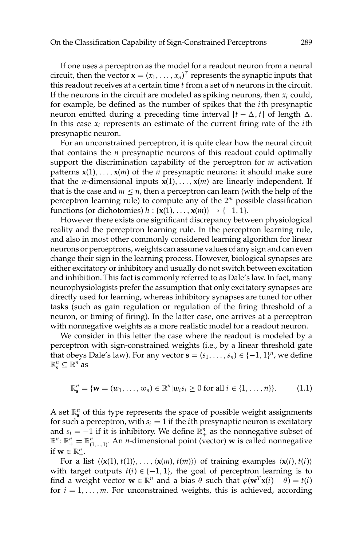If one uses a perceptron as the model for a readout neuron from a neural circuit, then the vector  $\mathbf{x} = (x_1, \ldots, x_n)^T$  represents the synaptic inputs that this readout receives at a certain time *t* from a set of *n* neurons in the circuit. If the neurons in the circuit are modeled as spiking neurons, then  $x_i$  could, for example, be defined as the number of spikes that the *i*th presynaptic neuron emitted during a preceding time interval  $[t - \Delta, t]$  of length  $\Delta$ . In this case *xi* represents an estimate of the current firing rate of the *i*th presynaptic neuron.

For an unconstrained perceptron, it is quite clear how the neural circuit that contains the *n* presynaptic neurons of this readout could optimally support the discrimination capability of the perceptron for *m* activation patterns  $x(1),...,x(m)$  of the *n* presynaptic neurons: it should make sure that the *n*-dimensional inputs  $x(1),...,x(m)$  are linearly independent. If that is the case and  $m \leq n$ , then a perceptron can learn (with the help of the perceptron learning rule) to compute any of the 2*<sup>m</sup>* possible classification functions (or dichotomies)  $h : \{x(1), \ldots, x(m)\} \rightarrow \{-1, 1\}.$ 

However there exists one significant discrepancy between physiological reality and the perceptron learning rule. In the perceptron learning rule, and also in most other commonly considered learning algorithm for linear neurons or perceptrons, weights can assume values of any sign and can even change their sign in the learning process. However, biological synapses are either excitatory or inhibitory and usually do not switch between excitation and inhibition. This fact is commonly referred to as Dale's law. In fact, many neurophysiologists prefer the assumption that only excitatory synapses are directly used for learning, whereas inhibitory synapses are tuned for other tasks (such as gain regulation or regulation of the firing threshold of a neuron, or timing of firing). In the latter case, one arrives at a perceptron with nonnegative weights as a more realistic model for a readout neuron.

We consider in this letter the case where the readout is modeled by a perceptron with sign-constrained weights (i.e., by a linear threshold gate that obeys Dale's law). For any vector  $\mathbf{s} = (s_1, \ldots, s_n) \in \{-1, 1\}^n$ , we define  $\mathbb{R}^n_{\mathbf{s}} \subseteq \mathbb{R}^n$  as

$$
\mathbb{R}_{\mathbf{s}}^{n} = \{ \mathbf{w} = (w_1, \ldots, w_n) \in \mathbb{R}^{n} | w_i s_i \geq 0 \text{ for all } i \in \{1, \ldots, n\} \}. \tag{1.1}
$$

A set  $\mathbb{R}^n_s$  of this type represents the space of possible weight assignments for such a perceptron, with  $s_i = 1$  if the *i*th presynaptic neuron is excitatory and  $s_i = -1$  if it is inhibitory. We define  $\mathbb{R}^n_+$  as the nonnegative subset of  $\mathbb{R}^n: \mathbb{R}^n_+ = \mathbb{R}^n_{(1,\ldots,1)}$ . An *n*-dimensional point (vector) **w** is called nonnegative if  $\mathbf{w} \in \mathbb{R}^n_+$ .

For a list  $\langle x(1), t(1) \rangle, \ldots, \langle x(m), t(m) \rangle$  of training examples  $\langle x(i), t(i) \rangle$ with target outputs  $t(i) \in \{-1, 1\}$ , the goal of perceptron learning is to find a weight vector  $\mathbf{w} \in \mathbb{R}^n$  and a bias  $\theta$  such that  $\varphi(\mathbf{w}^T \mathbf{x}(i) - \theta) = t(i)$ for  $i = 1, \ldots, m$ . For unconstrained weights, this is achieved, according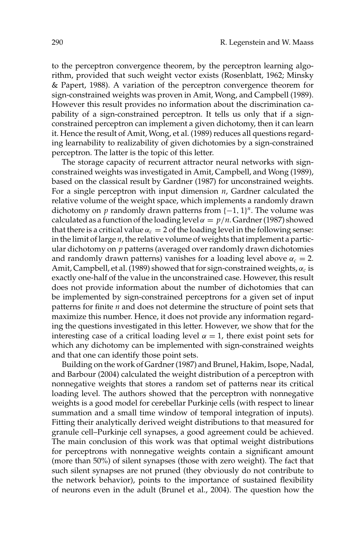to the perceptron convergence theorem, by the perceptron learning algorithm, provided that such weight vector exists (Rosenblatt, 1962; Minsky & Papert, 1988). A variation of the perceptron convergence theorem for sign-constrained weights was proven in Amit, Wong, and Campbell (1989). However this result provides no information about the discrimination capability of a sign-constrained perceptron. It tells us only that if a signconstrained perceptron can implement a given dichotomy, then it can learn it. Hence the result of Amit, Wong, et al. (1989) reduces all questions regarding learnability to realizability of given dichotomies by a sign-constrained perceptron. The latter is the topic of this letter.

The storage capacity of recurrent attractor neural networks with signconstrained weights was investigated in Amit, Campbell, and Wong (1989), based on the classical result by Gardner (1987) for unconstrained weights. For a single perceptron with input dimension *n*, Gardner calculated the relative volume of the weight space, which implements a randomly drawn dichotomy on *p* randomly drawn patterns from  $\{-1, 1\}$ <sup>*n*</sup>. The volume was calculated as a function of the loading level  $\alpha = p/n$ . Gardner (1987) showed that there is a critical value  $\alpha_c = 2$  of the loading level in the following sense: in the limit of large *n*, the relative volume of weights that implement a particular dichotomy on *p* patterns (averaged over randomly drawn dichotomies and randomly drawn patterns) vanishes for a loading level above  $\alpha_c = 2$ . Amit, Campbell, et al. (1989) showed that for sign-constrained weights,  $\alpha_c$  is exactly one-half of the value in the unconstrained case. However, this result does not provide information about the number of dichotomies that can be implemented by sign-constrained perceptrons for a given set of input patterns for finite *n* and does not determine the structure of point sets that maximize this number. Hence, it does not provide any information regarding the questions investigated in this letter. However, we show that for the interesting case of a critical loading level  $\alpha = 1$ , there exist point sets for which any dichotomy can be implemented with sign-constrained weights and that one can identify those point sets.

Building on the work of Gardner (1987) and Brunel, Hakim, Isope, Nadal, and Barbour (2004) calculated the weight distribution of a perceptron with nonnegative weights that stores a random set of patterns near its critical loading level. The authors showed that the perceptron with nonnegative weights is a good model for cerebellar Purkinje cells (with respect to linear summation and a small time window of temporal integration of inputs). Fitting their analytically derived weight distributions to that measured for granule cell–Purkinje cell synapses, a good agreement could be achieved. The main conclusion of this work was that optimal weight distributions for perceptrons with nonnegative weights contain a significant amount (more than 50%) of silent synapses (those with zero weight). The fact that such silent synapses are not pruned (they obviously do not contribute to the network behavior), points to the importance of sustained flexibility of neurons even in the adult (Brunel et al., 2004). The question how the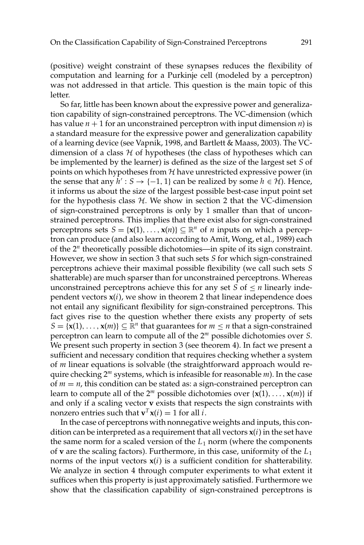(positive) weight constraint of these synapses reduces the flexibility of computation and learning for a Purkinje cell (modeled by a perceptron) was not addressed in that article. This question is the main topic of this letter.

So far, little has been known about the expressive power and generalization capability of sign-constrained perceptrons. The VC-dimension (which has value  $n + 1$  for an unconstrained perceptron with input dimension  $n$ ) is a standard measure for the expressive power and generalization capability of a learning device (see Vapnik, 1998, and Bartlett & Maass, 2003). The VCdimension of a class  $H$  of hypotheses (the class of hypotheses which can be implemented by the learner) is defined as the size of the largest set *S* of points on which hypotheses from  $H$  have unrestricted expressive power (in the sense that any  $h' : S \to \{-1, 1\}$  can be realized by some  $h \in \mathcal{H}$ ). Hence, it informs us about the size of the largest possible best-case input point set for the hypothesis class  $H$ . We show in section 2 that the VC-dimension of sign-constrained perceptrons is only by 1 smaller than that of unconstrained perceptrons. This implies that there exist also for sign-constrained perceptrons sets  $S = \{x(1), \ldots, x(n)\} \subseteq \mathbb{R}^n$  of *n* inputs on which a perceptron can produce (and also learn according to Amit, Wong, et al., 1989) each of the 2*<sup>n</sup>* theoretically possible dichotomies—in spite of its sign constraint. However, we show in section 3 that such sets *S* for which sign-constrained perceptrons achieve their maximal possible flexibility (we call such sets *S* shatterable) are much sparser than for unconstrained perceptrons. Whereas unconstrained perceptrons achieve this for any set  $S$  of  $\leq n$  linearly independent vectors **x**(*i*), we show in theorem 2 that linear independence does not entail any significant flexibility for sign-constrained perceptrons. This fact gives rise to the question whether there exists any property of sets  $S = \{x(1), \ldots, x(m)\} \subseteq \mathbb{R}^n$  that guarantees for  $m \le n$  that a sign-constrained perceptron can learn to compute all of the 2*<sup>m</sup>* possible dichotomies over *S*. We present such property in section 3 (see theorem 4). In fact we present a sufficient and necessary condition that requires checking whether a system of *m* linear equations is solvable (the straightforward approach would require checking 2*<sup>m</sup>* systems, which is infeasible for reasonable *m*). In the case of  $m = n$ , this condition can be stated as: a sign-constrained perceptron can learn to compute all of the  $2^m$  possible dichotomies over  $\{x(1),...,x(m)\}$  if and only if a scaling vector **v** exists that respects the sign constraints with nonzero entries such that  $\mathbf{v}^T \mathbf{x}(i) = 1$  for all *i*.

In the case of perceptrons with nonnegative weights and inputs, this condition can be interpreted as a requirement that all vectors **x**(*i*) in the set have the same norm for a scaled version of the  $L_1$  norm (where the components of **v** are the scaling factors). Furthermore, in this case, uniformity of the *L*<sup>1</sup> norms of the input vectors  $x(i)$  is a sufficient condition for shatterability. We analyze in section 4 through computer experiments to what extent it suffices when this property is just approximately satisfied. Furthermore we show that the classification capability of sign-constrained perceptrons is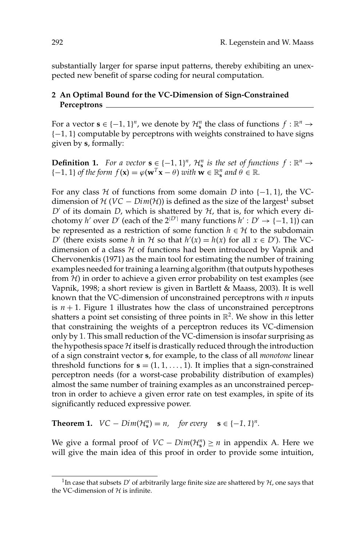substantially larger for sparse input patterns, thereby exhibiting an unexpected new benefit of sparse coding for neural computation.

# **2 An Optimal Bound for the VC-Dimension of Sign-Constrained Perceptrons**

For a vector  $\mathbf{s} \in \{-1, 1\}^n$ , we denote by  $\mathcal{H}_\mathbf{s}^n$  the class of functions  $f : \mathbb{R}^n \to$ {−1, 1} computable by perceptrons with weights constrained to have signs given by **s**, formally:

**Definition 1.** *For a vector*  $\mathbf{s} \in \{-1, 1\}^n$ ,  $\mathcal{H}_\mathbf{s}^n$  *is the set of functions*  $f : \mathbb{R}^n \to$  $\{-1, 1\}$  *of the form*  $f(\mathbf{x}) = \varphi(\mathbf{w}^T \mathbf{x} - \theta)$  *with*  $\mathbf{w} \in \mathbb{R}_s^n$  *and*  $\theta \in \mathbb{R}$ *.* 

For any class  $H$  of functions from some domain *D* into  $\{-1, 1\}$ , the VCdimension of  $H (VC - Dim(H))$  is defined as the size of the largest<sup>1</sup> subset  $D'$  of its domain  $D$ , which is shattered by  $H$ , that is, for which every dichotomy *h*<sup>*'*</sup> over *D'* (each of the  $2^{|D'|}$  many functions *h'* : *D'*  $\rightarrow$  {-1, 1}) can be represented as a restriction of some function  $h \in \mathcal{H}$  to the subdomain *D*<sup> $\prime$ </sup> (there exists some *h* in  $H$  so that  $h'(x) = h(x)$  for all  $x \in D'$ ). The VCdimension of a class  $H$  of functions had been introduced by Vapnik and Chervonenkis (1971) as the main tool for estimating the number of training examples needed for training a learning algorithm (that outputs hypotheses from  $H$ ) in order to achieve a given error probability on test examples (see Vapnik, 1998; a short review is given in Bartlett & Maass, 2003). It is well known that the VC-dimension of unconstrained perceptrons with *n* inputs is  $n + 1$ . Figure 1 illustrates how the class of unconstrained perceptrons shatters a point set consisting of three points in  $\mathbb{R}^2$ . We show in this letter that constraining the weights of a perceptron reduces its VC-dimension only by 1. This small reduction of the VC-dimension is insofar surprising as the hypothesis space  $H$  itself is drastically reduced through the introduction of a sign constraint vector **s**, for example, to the class of all *monotone* linear threshold functions for  $\mathbf{s} = (1, 1, \ldots, 1)$ . It implies that a sign-constrained perceptron needs (for a worst-case probability distribution of examples) almost the same number of training examples as an unconstrained perceptron in order to achieve a given error rate on test examples, in spite of its significantly reduced expressive power.

**Theorem 1.**  $VC - Dim(\mathcal{H}_s^n) = n$ , for every  $\mathbf{s} \in \{-1, 1\}^n$ .

We give a formal proof of  $VC - Dim(\mathcal{H}_s^n) \ge n$  in appendix A. Here we will give the main idea of this proof in order to provide some intuition,

<sup>&</sup>lt;sup>1</sup>In case that subsets *D'* of arbitrarily large finite size are shattered by  $H$ , one says that the VC-dimension of  $H$  is infinite.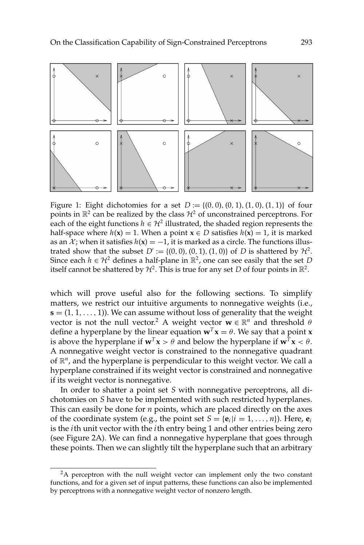

Figure 1: Eight dichotomies for a set  $D := \{(0, 0), (0, 1), (1, 0), (1, 1)\}$  of four points in  $\mathbb{R}^2$  can be realized by the class  $\mathcal{H}^2$  of unconstrained perceptrons. For each of the eight functions  $h \in H^2$  illustrated, the shaded region represents the half-space where  $h(x) = 1$ . When a point  $x \in D$  satisfies  $h(x) = 1$ , it is marked as an  $\mathcal{X}$ ; when it satisfies  $h(\mathbf{x}) = -1$ , it is marked as a circle. The functions illustrated show that the subset  $D' := \{(0, 0), (0, 1), (1, 0)\}$  of *D* is shattered by  $\mathcal{H}^2$ . Since each  $h \in \mathcal{H}^2$  defines a half-plane in  $\mathbb{R}^2$ , one can see easily that the set *D* itself cannot be shattered by  $H^2$ . This is true for any set *D* of four points in  $\mathbb{R}^2$ .

which will prove useful also for the following sections. To simplify matters, we restrict our intuitive arguments to nonnegative weights (i.e., **). We can assume without loss of generality that the weight** vector is not the null vector.<sup>2</sup> A weight vector  $\mathbf{w} \in \mathbb{R}^n$  and threshold  $\theta$ define a hyperplane by the linear equation  $\mathbf{w}^T \mathbf{x} = \theta$ . We say that a point **x** is above the hyperplane if  $w^T x > \theta$  and below the hyperplane if  $w^T x < \theta$ . A nonnegative weight vector is constrained to the nonnegative quadrant of  $\mathbb{R}^n$ , and the hyperplane is perpendicular to this weight vector. We call a hyperplane constrained if its weight vector is constrained and nonnegative if its weight vector is nonnegative.

In order to shatter a point set *S* with nonnegative perceptrons, all dichotomies on *S* have to be implemented with such restricted hyperplanes. This can easily be done for *n* points, which are placed directly on the axes of the coordinate system (e.g., the point set  $S = {\bf{e}}_i | i = 1, \ldots, n$ ). Here,  ${\bf{e}}_i$ is the *i*th unit vector with the *i*th entry being 1 and other entries being zero (see Figure 2A). We can find a nonnegative hyperplane that goes through these points. Then we can slightly tilt the hyperplane such that an arbitrary

<sup>&</sup>lt;sup>2</sup>A perceptron with the null weight vector can implement only the two constant functions, and for a given set of input patterns, these functions can also be implemented by perceptrons with a nonnegative weight vector of nonzero length.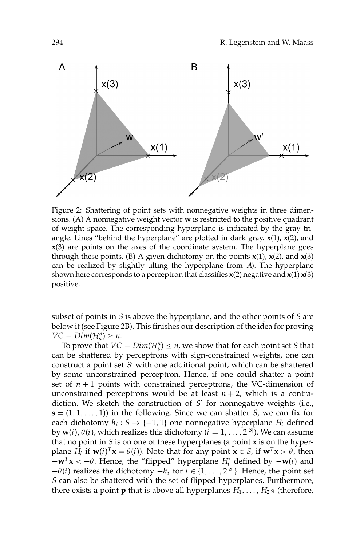

Figure 2: Shattering of point sets with nonnegative weights in three dimensions. (A) A nonnegative weight vector **w** is restricted to the positive quadrant of weight space. The corresponding hyperplane is indicated by the gray triangle. Lines "behind the hyperplane" are plotted in dark gray. **x**(1), **x**(2), and **x**(3) are points on the axes of the coordinate system. The hyperplane goes through these points. (B) A given dichotomy on the points  $x(1)$ ,  $x(2)$ , and  $x(3)$ can be realized by slightly tilting the hyperplane from *A*). The hyperplane shown here corresponds to a perceptron that classifies  $x(2)$  negative and  $x(1)x(3)$ positive.

subset of points in *S* is above the hyperplane, and the other points of *S* are below it (see Figure 2B). This finishes our description of the idea for proving *VC* − *Dim*( $\mathcal{H}_{\mathbf{s}}^n$ ) ≥ *n*.

To prove that  $VC - Dim(\mathcal{H}_s^n) \leq n$ , we show that for each point set *S* that can be shattered by perceptrons with sign-constrained weights, one can construct a point set *S'* with one additional point, which can be shattered by some unconstrained perceptron. Hence, if one could shatter a point set of  $n+1$  points with constrained perceptrons, the VC-dimension of unconstrained perceptrons would be at least  $n + 2$ , which is a contradiction. We sketch the construction of *S*<sup>'</sup> for nonnegative weights (i.e.,  $\mathbf{s} = (1, 1, \ldots, 1)$  in the following. Since we can shatter *S*, we can fix for each dichotomy  $h_i : S \rightarrow \{-1, 1\}$  one nonnegative hyperplane  $H_i$  defined by  $\mathbf{w}(i)$ ,  $\theta(i)$ , which realizes this dichotomy ( $i = 1, \ldots, 2^{|S|}$ ). We can assume that no point in *S* is on one of these hyperplanes (a point **x** is on the hyperplane *H<sub>i</sub>* if  $\mathbf{w}(i)^T \mathbf{x} = \theta(i)$ ). Note that for any point  $\mathbf{x} \in S$ , if  $\mathbf{w}^T \mathbf{x} > \theta$ , then  $-\mathbf{w}^T\mathbf{x} < -\theta$ . Hence, the "flipped" hyperplane *H*<sup>*i*</sup> defined by  $-\mathbf{w}(i)$  and  $-\theta(i)$  realizes the dichotomy  $-h_i$  for  $i \in \{1, ..., 2^{|S|}\}\$ . Hence, the point set *S* can also be shattered with the set of flipped hyperplanes. Furthermore, there exists a point **p** that is above all hyperplanes  $H_1, \ldots, H_{2^{|S|}}$  (therefore,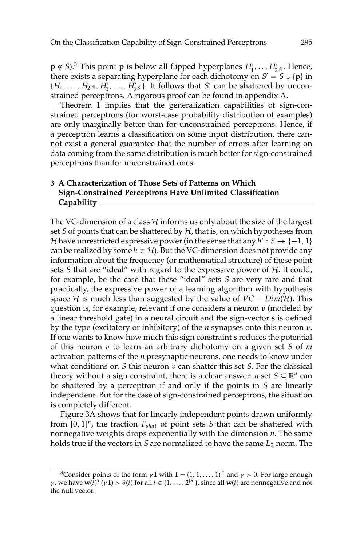$\mathbf{p} \notin S$ ).<sup>3</sup> This point  $\mathbf{p}$  is below all flipped hyperplanes  $H'_1, \ldots, H'_{2^{|S|}}$ . Hence, there exists a separating hyperplane for each dichotomy on  $S' = S \cup \{p\}$  in  $\{H_1, \ldots, H_{2^{|S|}}, H_1^{\prime}, \ldots, H_{2^{|S|}}^{\prime}\}$ . It follows that *S*' can be shattered by unconstrained perceptrons. A rigorous proof can be found in appendix A.

Theorem 1 implies that the generalization capabilities of sign-constrained perceptrons (for worst-case probability distribution of examples) are only marginally better than for unconstrained perceptrons. Hence, if a perceptron learns a classification on some input distribution, there cannot exist a general guarantee that the number of errors after learning on data coming from the same distribution is much better for sign-constrained perceptrons than for unconstrained ones.

### **3 A Characterization of Those Sets of Patterns on Which Sign-Constrained Perceptrons Have Unlimited Classification Capability**

The VC-dimension of a class  $H$  informs us only about the size of the largest set *S* of points that can be shattered by  $H$ , that is, on which hypotheses from H have unrestricted expressive power (in the sense that any  $h' : S \rightarrow \{-1, 1\}$ can be realized by some  $h \in H$ ). But the VC-dimension does not provide any information about the frequency (or mathematical structure) of these point sets  $S$  that are "ideal" with regard to the expressive power of  $H$ . It could, for example, be the case that these "ideal" sets *S* are very rare and that practically, the expressive power of a learning algorithm with hypothesis space  $H$  is much less than suggested by the value of  $VC - Dim(H)$ . This question is, for example, relevant if one considers a neuron  $v$  (modeled by a linear threshold gate) in a neural circuit and the sign-vector **s** is defined by the type (excitatory or inhibitory) of the *n* synapses onto this neuron v. If one wants to know how much this sign constraint **s** reduces the potential of this neuron v to learn an arbitrary dichotomy on a given set *S* of *m* activation patterns of the *n* presynaptic neurons, one needs to know under what conditions on *S* this neuron v can shatter this set *S*. For the classical theory without a sign constraint, there is a clear answer: a set  $S \subseteq \mathbb{R}^n$  can be shattered by a perceptron if and only if the points in *S* are linearly independent. But for the case of sign-constrained perceptrons, the situation is completely different.

Figure 3A shows that for linearly independent points drawn uniformly from  $[0, 1]^n$ , the fraction  $F_{\text{shat}}$  of point sets *S* that can be shattered with nonnegative weights drops exponentially with the dimension *n*. The same holds true if the vectors in *S* are normalized to have the same *L*<sup>2</sup> norm. The

<sup>&</sup>lt;sup>3</sup>Consider points of the form  $\gamma$ **1** with **1** =  $(1, 1, ..., 1)^T$  and  $\gamma > 0$ . For large enough *γ*, we have  $w(i)$ <sup>T</sup>(γ1) >  $θ(i)$  for all *i* ∈ {1, . . . , 2<sup>|S|</sup>}, since all  $w(i)$  are nonnegative and not the null vector.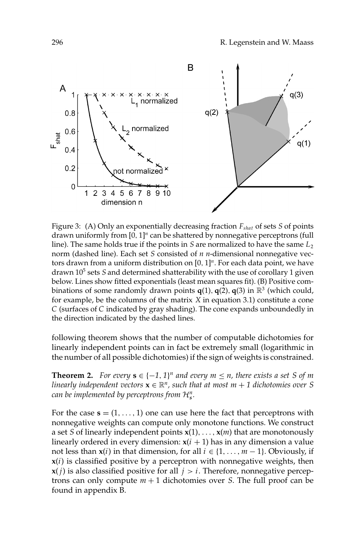

Figure 3: (A) Only an exponentially decreasing fraction *Fshat* of sets *S* of points drawn uniformly from [0, 1]*<sup>n</sup>* can be shattered by nonnegative perceptrons (full line). The same holds true if the points in *S* are normalized to have the same  $L_2$ norm (dashed line). Each set *S* consisted of *n n*-dimensional nonnegative vectors drawn from a uniform distribution on [0, 1]<sup>n</sup>. For each data point, we have drawn 105 sets *S* and determined shatterability with the use of corollary 1 given below. Lines show fitted exponentials (least mean squares fit). (B) Positive combinations of some randomly drawn points  $q(1)$ ,  $q(2)$ ,  $q(3)$  in  $\mathbb{R}^3$  (which could, for example, be the columns of the matrix *X* in equation 3.1) constitute a cone *C* (surfaces of *C* indicated by gray shading). The cone expands unboundedly in the direction indicated by the dashed lines.

following theorem shows that the number of computable dichotomies for linearly independent points can in fact be extremely small (logarithmic in the number of all possible dichotomies) if the sign of weights is constrained.

**Theorem 2.** *For every*  $s \in \{-1, 1\}^n$  *and every*  $m \leq n$ *, there exists a set S of m linearly independent vectors*  $\mathbf{x} \in \mathbb{R}^n$ , such that at most  $m + 1$  dichotomies over S *can be implemented by perceptrons from*  $\mathcal{H}_{\mathbf{s}}^n$ *.* 

For the case  $\mathbf{s} = (1, \ldots, 1)$  one can use here the fact that perceptrons with nonnegative weights can compute only monotone functions. We construct a set *S* of linearly independent points **x**(1),..., **x**(*m*) that are monotonously linearly ordered in every dimension:  $x(i + 1)$  has in any dimension a value not less than **x**(*i*) in that dimension, for all *i* ∈ {1, ..., *m* − 1}. Obviously, if **x**(*i*) is classified positive by a perceptron with nonnegative weights, then  **is also classified positive for all** *. Therefore, nonnegative percep*trons can only compute  $m + 1$  dichotomies over *S*. The full proof can be found in appendix B.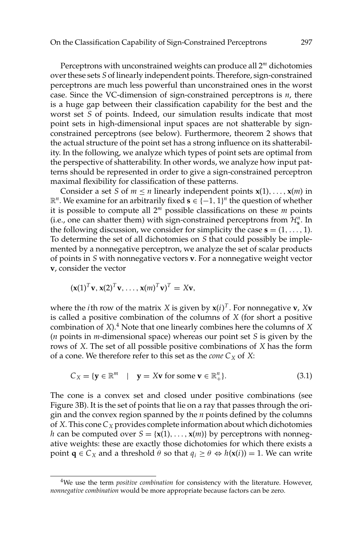Perceptrons with unconstrained weights can produce all 2*<sup>m</sup>* dichotomies over these sets *S* of linearly independent points. Therefore, sign-constrained perceptrons are much less powerful than unconstrained ones in the worst case. Since the VC-dimension of sign-constrained perceptrons is *n*, there is a huge gap between their classification capability for the best and the worst set *S* of points. Indeed, our simulation results indicate that most point sets in high-dimensional input spaces are not shatterable by signconstrained perceptrons (see below). Furthermore, theorem 2 shows that the actual structure of the point set has a strong influence on its shatterability. In the following, we analyze which types of point sets are optimal from the perspective of shatterability. In other words, we analyze how input patterns should be represented in order to give a sign-constrained perceptron maximal flexibility for classification of these patterns.

Consider a set *S* of  $m \le n$  linearly independent points  $\mathbf{x}(1), \ldots, \mathbf{x}(m)$  in  $\mathbb{R}^n$ . We examine for an arbitrarily fixed **s** ∈ {-1, 1}<sup>*n*</sup> the question of whether it is possible to compute all  $2^m$  possible classifications on these  $m$  points (i.e., one can shatter them) with sign-constrained perceptrons from  $\mathcal{H}_{s}^{n}$ . In the following discussion, we consider for simplicity the case  $\mathbf{s} = (1, \ldots, 1)$ . To determine the set of all dichotomies on *S* that could possibly be implemented by a nonnegative perceptron, we analyze the set of scalar products of points in *S* with nonnegative vectors **v**. For a nonnegative weight vector **v**, consider the vector

$$
(\mathbf{x}(1)^T\mathbf{v}, \mathbf{x}(2)^T\mathbf{v}, \ldots, \mathbf{x}(m)^T\mathbf{v})^T = X\mathbf{v},
$$

where the *i*th row of the matrix *X* is given by  $\mathbf{x}(i)^{T}$ . For nonnegative  $\mathbf{v}$ , *X***v** is called a positive combination of the columns of *X* (for short a positive combination of *X*).<sup>4</sup> Note that one linearly combines here the columns of *X* (*n* points in *m*-dimensional space) whereas our point set *S* is given by the rows of *X*. The set of all possible positive combinations of *X* has the form of a cone. We therefore refer to this set as the *cone*  $C_X$  of  $X$ :

$$
C_X = \{ \mathbf{y} \in \mathbb{R}^m \mid \mathbf{y} = X\mathbf{v} \text{ for some } \mathbf{v} \in \mathbb{R}_+^n \}. \tag{3.1}
$$

The cone is a convex set and closed under positive combinations (see Figure 3B). It is the set of points that lie on a ray that passes through the origin and the convex region spanned by the *n* points defined by the columns of *X*. This cone  $C_X$  provides complete information about which dichotomies *h* can be computed over  $S = \{x(1), \ldots, x(m)\}\$  by perceptrons with nonnegative weights: these are exactly those dichotomies for which there exists a point **q**  $\in C_X$  and a threshold  $\theta$  so that  $q_i \ge \theta \Leftrightarrow h(\mathbf{x}(i)) = 1$ . We can write

<sup>4</sup>We use the term *positive combination* for consistency with the literature. However, *nonnegative combination* would be more appropriate because factors can be zero.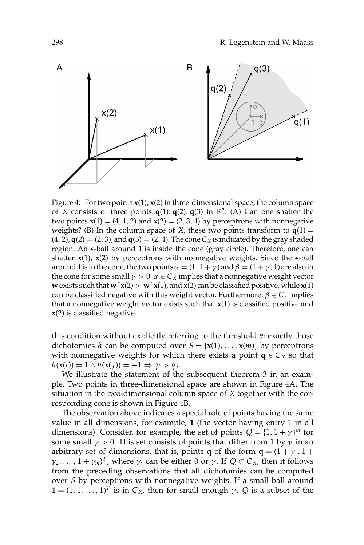

Figure 4: For two points  $x(1)$ ,  $x(2)$  in three-dimensional space, the column space of *X* consists of three points  $q(1), q(2), q(3)$  in  $\mathbb{R}^2$ . (A) Can one shatter the two points  $x(1) = (4, 1, 2)$  and  $x(2) = (2, 3, 4)$  by perceptrons with nonnegative weights? (B) In the column space of *X*, these two points transform to  $q(1) =$  $(4, 2)$ ,  $q(2) = (2, 3)$ , and  $q(3) = (2, 4)$ . The cone  $C<sub>X</sub>$  is indicated by the gray shaded region. An  $\epsilon$ -ball around 1 is inside the cone (gray circle). Therefore, one can shatter  $x(1)$ ,  $x(2)$  by perceptrons with nonnegative weights. Since the  $\epsilon$ -ball around **1** is in the cone, the two points  $\alpha = (1, 1 + \gamma)$  and  $\beta = (1 + \gamma, 1)$  are also in the cone for some small  $\gamma > 0$ .  $\alpha \in C_X$  implies that a nonnegative weight vector **w** exists such that  $\mathbf{w}^T \mathbf{x}(2) > \mathbf{w}^T \mathbf{x}(1)$ , and  $\mathbf{x}(2)$  can be classified positive, while  $\mathbf{x}(1)$ can be classified negative with this weight vector. Furthermore,  $\beta \in C_x$  implies that a nonnegative weight vector exists such that **x**(1) is classified positive and **x**(2) is classified negative.

this condition without explicitly referring to the threshold  $\theta$ : exactly those dichotomies *h* can be computed over  $S = \{x(1), \ldots, x(m)\}\$  by perceptrons with nonnegative weights for which there exists a point  $q \in C_X$  so that  $h(\mathbf{x}(i)) = 1 \wedge h(\mathbf{x}(i)) = -1 \Rightarrow q_i > q_i.$ 

We illustrate the statement of the subsequent theorem 3 in an example. Two points in three-dimensional space are shown in Figure 4A. The situation in the two-dimensional column space of *X* together with the corresponding cone is shown in Figure 4B.

The observation above indicates a special role of points having the same value in all dimensions, for example, **1** (the vector having entry 1 in all dimensions). Consider, for example, the set of points  $Q = \{1, 1 + \gamma\}^m$  for some small  $\gamma > 0$ . This set consists of points that differ from 1 by  $\gamma$  in an arbitrary set of dimensions, that is, points **q** of the form  $\mathbf{q} = (1 + \gamma_1, 1 + \gamma_2)$  $\gamma_2, \ldots, 1 + \gamma_m$ <sup>T</sup>, where  $\gamma_i$  can be either 0 or  $\gamma$ . If  $Q \subset C_X$ , then it follows from the preceding observations that all dichotomies can be computed over *S* by perceptrons with nonnegative weights. If a small ball around  $\mathbf{1} = (1, 1, \ldots, 1)^T$  is in  $C_X$ , then for small enough  $\gamma$ , Q is a subset of the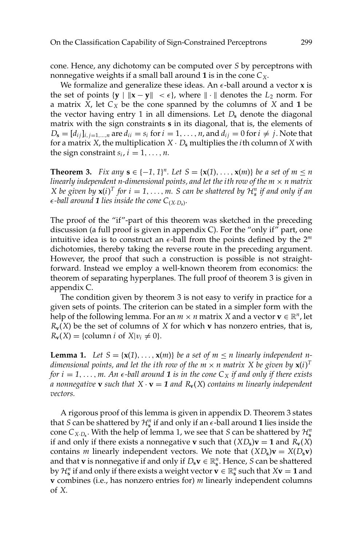cone. Hence, any dichotomy can be computed over *S* by perceptrons with nonnegative weights if a small ball around **1** is in the cone  $C_X$ .

We formalize and generalize these ideas. An  $\epsilon$ -ball around a vector **x** is the set of points  $\{y \mid ||x - y|| < \epsilon\}$ , where  $|| \cdot ||$  denotes the  $L_2$  norm. For a matrix  $X$ , let  $C_X$  be the cone spanned by the columns of  $X$  and 1 be the vector having entry 1 in all dimensions. Let  $D_s$  denote the diagonal matrix with the sign constraints **s** in its diagonal, that is, the elements of  $D_{\bf s} = [d_{ij}]_{i,j=1,\dots,n}$  are  $d_{ii} = s_i$  for  $i = 1,\dots,n$ , and  $d_{ij} = 0$  for  $i \neq j$ . Note that for a matrix *X*, the multiplication  $X \cdot D_s$  multiplies the *i*th column of *X* with the sign constraint  $s_i$ ,  $i = 1, \ldots, n$ .

**Theorem 3.** *Fix any* **s** ∈ {−1, 1}<sup>*n*</sup>. Let *S* = { $\mathbf{x}(1)$ , ...,  $\mathbf{x}(m)$ } *be a set of m* ≤ *n linearly independent n-dimensional points, and let the ith row of the m*  $\times$  *n matrix X* be given by  $\mathbf{x}(i)^T$  for  $i = 1, ..., m$ . *S* can be shattered by  $\mathcal{H}_s^n$  if and only if an  $\epsilon$ -ball around **1** lies inside the cone  $C_{(X,D_s)}$ .

The proof of the "if"-part of this theorem was sketched in the preceding discussion (a full proof is given in appendix C). For the "only if" part, one intuitive idea is to construct an  $\epsilon$ -ball from the points defined by the  $2^m$ dichotomies, thereby taking the reverse route in the preceding argument. However, the proof that such a construction is possible is not straightforward. Instead we employ a well-known theorem from economics: the theorem of separating hyperplanes. The full proof of theorem 3 is given in appendix C.

The condition given by theorem 3 is not easy to verify in practice for a given sets of points. The criterion can be stated in a simpler form with the help of the following lemma. For an  $m \times n$  matrix *X* and a vector  $\mathbf{v} \in \mathbb{R}^n$ , let  $R_{\bf{v}}(X)$  be the set of columns of *X* for which **v** has nonzero entries, that is,  $R_{\mathbf{v}}(X) = \{\text{column } i \text{ of } X | v_i \neq 0\}.$ 

**Lemma 1.** Let  $S = \{x(1), \ldots, x(m)\}$  be a set of  $m \le n$  linearly independent ndimensional points, and let the ith row of the  $m \times n$  matrix  $X$  be given by  $\mathbf{x}(i)^T$ *for i* = 1, ..., *m.* An  $\epsilon$ -ball around **1** *is in the cone*  $C_X$  *if and only if there exists a* nonnegative **v** such that  $X \cdot \mathbf{v} = 1$  and  $R_{\mathbf{v}}(X)$  contains m linearly independent *vectors.*

A rigorous proof of this lemma is given in appendix D. Theorem 3 states that *S* can be shattered by  $\mathcal{H}_s^n$  if and only if an  $\epsilon$ -ball around **1** lies inside the cone  $C_{X \cdot D_s}$ . With the help of lemma 1, we see that *S* can be shattered by  $\mathcal{H}_s^n$ if and only if there exists a nonnegative **v** such that  $(XD_s)\mathbf{v} = \mathbf{1}$  and  $R_v(X)$ contains *m* linearly independent vectors. We note that  $(XD_s)\mathbf{v} = X(D_s\mathbf{v})$ and that **v** is nonnegative if and only if  $D_s \mathbf{v} \in \mathbb{R}^n_s$ . Hence, *S* can be shattered by  $\mathcal{H}_s^n$  if and only if there exists a weight vector  $\mathbf{v} \in \mathbb{R}_s^n$  such that  $X\mathbf{v} = 1$  and **v** combines (i.e., has nonzero entries for) *m* linearly independent columns of *X*.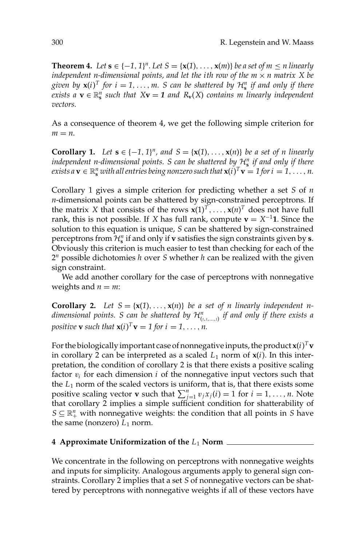**Theorem 4.** Let  $\mathbf{s} \in \{-1, 1\}^n$ . Let  $S = \{\mathbf{x}(1), \ldots, \mathbf{x}(m)\}$  be a set of  $m \leq n$  linearly *independent n-dimensional points, and let the ith row of the*  $m \times n$  *matrix X be given by*  $\mathbf{x}(i)^T$  *for*  $i = 1, ..., m$ . *S can be shattered by*  $\mathcal{H}_s^n$  *if and only if there exists a*  $\mathbf{v} \in \mathbb{R}^n_s$  *such that*  $X\mathbf{v} = 1$  *and*  $R_\mathbf{v}(X)$  *contains m linearly independent vectors.*

As a consequence of theorem 4, we get the following simple criterion for  $m = n$ .

**Corollary 1.** Let  $\mathbf{s} \in \{-1, 1\}^n$ , and  $S = \{\mathbf{x}(1), \ldots, \mathbf{x}(n)\}$  be a set of n linearly *independent n-dimensional points. S can be shattered by* H*<sup>n</sup>* **<sup>s</sup>** *if and only if there exists a*  $\mathbf{v} \in \mathbb{R}^n_{\mathbf{s}}$  *with all entries being nonzero such that*  $\mathbf{x}(i)^T \mathbf{v} = 1$  for  $i = 1, \ldots, n$ .

Corollary 1 gives a simple criterion for predicting whether a set *S* of *n n*-dimensional points can be shattered by sign-constrained perceptrons. If the matrix *X* that consists of the rows  $\mathbf{x}(1)^T, \ldots, \mathbf{x}(n)^T$  does not have full rank, this is not possible. If *X* has full rank, compute **v** =  $X^{-1}$ **1**. Since the solution to this equation is unique, *S* can be shattered by sign-constrained perceptrons from  $\mathcal{H}_s^n$  if and only if **v** satisfies the sign constraints given by **s**. Obviously this criterion is much easier to test than checking for each of the 2*<sup>n</sup>* possible dichotomies *h* over *S* whether *h* can be realized with the given sign constraint.

We add another corollary for the case of perceptrons with nonnegative weights and  $n = m$ :

**Corollary 2.** Let  $S = \{x(1), \ldots, x(n)\}$  be a set of *n* linearly independent *n* $d$ imensional points. S can be shattered by  $\mathcal{H}^n_{(i,1,...,i)}$  if and only if there exists a *positive* **v** *such that*  $\mathbf{x}(i)^T \mathbf{v} = 1$  *for*  $i = 1, \ldots, n$ *.* 

For the biologically important case of nonnegative inputs, the product  $\mathbf{x}(i)^T\mathbf{v}$ in corollary 2 can be interpreted as a scaled  $L_1$  norm of  $x(i)$ . In this interpretation, the condition of corollary 2 is that there exists a positive scaling factor  $v_i$  for each dimension  $i$  of the nonnegative input vectors such that the  $L_1$  norm of the scaled vectors is uniform, that is, that there exists some positive scaling vector **v** such that  $\sum_{j=1}^{n} v_j x_j(i) = 1$  for  $i = 1, ..., n$ . Note that corollary 2 implies a simple sufficient condition for shatterability of  $S \subseteq \mathbb{R}_+^n$  with nonnegative weights: the condition that all points in *S* have the same (nonzero)  $L_1$  norm.

# **4 Approximate Uniformization of the** *L*<sup>1</sup> **Norm**

We concentrate in the following on perceptrons with nonnegative weights and inputs for simplicity. Analogous arguments apply to general sign constraints. Corollary 2 implies that a set *S* of nonnegative vectors can be shattered by perceptrons with nonnegative weights if all of these vectors have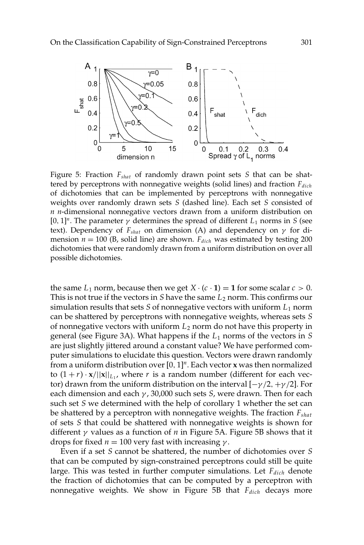

Figure 5: Fraction *Fshat* of randomly drawn point sets *S* that can be shattered by perceptrons with nonnegative weights (solid lines) and fraction  $F_{dich}$ of dichotomies that can be implemented by perceptrons with nonnegative weights over randomly drawn sets *S* (dashed line). Each set *S* consisted of *n n*-dimensional nonnegative vectors drawn from a uniform distribution on [0, 1]<sup>n</sup>. The parameter  $\gamma$  determines the spread of different  $L_1$  norms in *S* (see text). Dependency of  $F_{\text{shat}}$  on dimension (A) and dependency on  $\gamma$  for dimension  $n = 100$  (B, solid line) are shown.  $F_{dich}$  was estimated by testing 200 dichotomies that were randomly drawn from a uniform distribution on over all possible dichotomies.

the same  $L_1$  norm, because then we get  $X \cdot (c \cdot 1) = 1$  for some scalar  $c > 0$ . This is not true if the vectors in *S* have the same  $L_2$  norm. This confirms our simulation results that sets  $S$  of nonnegative vectors with uniform  $L_1$  norm can be shattered by perceptrons with nonnegative weights, whereas sets *S* of nonnegative vectors with uniform *L*<sup>2</sup> norm do not have this property in general (see Figure 3A). What happens if the *L*<sup>1</sup> norms of the vectors in *S* are just slightly jittered around a constant value? We have performed computer simulations to elucidate this question. Vectors were drawn randomly from a uniform distribution over [0, 1]*<sup>n</sup>*. Each vector **x** was then normalized to  $(1 + r) \cdot \mathbf{x}/||\mathbf{x}||_{L_1}$ , where *r* is a random number (different for each vector) drawn from the uniform distribution on the interval  $[-\gamma/2, +\gamma/2]$ . For each dimension and each γ , 30,000 such sets *S*, were drawn. Then for each such set *S* we determined with the help of corollary 1 whether the set can be shattered by a perceptron with nonnegative weights. The fraction *Fshat* of sets *S* that could be shattered with nonnegative weights is shown for different γ values as a function of *n* in Figure 5A. Figure 5B shows that it drops for fixed  $n = 100$  very fast with increasing  $γ$ .

Even if a set *S* cannot be shattered, the number of dichotomies over *S* that can be computed by sign-constrained perceptrons could still be quite large. This was tested in further computer simulations. Let *F<sub>dich</sub>* denote the fraction of dichotomies that can be computed by a perceptron with nonnegative weights. We show in Figure 5B that *F<sub>dich</sub>* decays more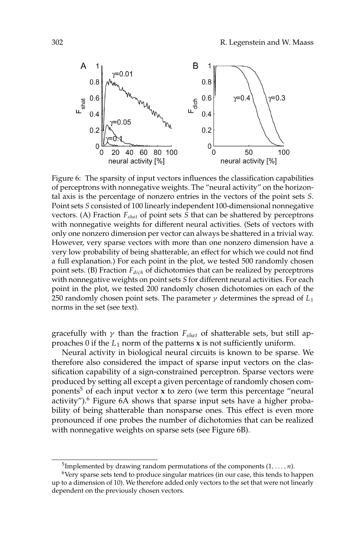

Figure 6: The sparsity of input vectors influences the classification capabilities of perceptrons with nonnegative weights. The "neural activity" on the horizontal axis is the percentage of nonzero entries in the vectors of the point sets *S*. Point sets *S* consisted of 100 linearly independent 100-dimensional nonnegative vectors. (A) Fraction *Fshat* of point sets *S* that can be shattered by perceptrons with nonnegative weights for different neural activities. (Sets of vectors with only one nonzero dimension per vector can always be shattered in a trivial way. However, very sparse vectors with more than one nonzero dimension have a very low probability of being shatterable, an effect for which we could not find a full explanation.) For each point in the plot, we tested 500 randomly chosen point sets. (B) Fraction *Fdich* of dichotomies that can be realized by perceptrons with nonnegative weights on point sets *S* for different neural activities. For each point in the plot, we tested 200 randomly chosen dichotomies on each of the 250 randomly chosen point sets. The parameter  $\gamma$  determines the spread of  $L_1$ norms in the set (see text).

gracefully with  $\gamma$  than the fraction  $F_{\text{shat}}$  of shatterable sets, but still approaches 0 if the  $L_1$  norm of the patterns **x** is not sufficiently uniform.

Neural activity in biological neural circuits is known to be sparse. We therefore also considered the impact of sparse input vectors on the classification capability of a sign-constrained perceptron. Sparse vectors were produced by setting all except a given percentage of randomly chosen components<sup>5</sup> of each input vector  $x$  to zero (we term this percentage "neural activity"). $6$  Figure 6A shows that sparse input sets have a higher probability of being shatterable than nonsparse ones. This effect is even more pronounced if one probes the number of dichotomies that can be realized with nonnegative weights on sparse sets (see Figure 6B).

<sup>&</sup>lt;sup>5</sup>Implemented by drawing random permutations of the components  $(1, \ldots, n)$ .

 $6$ Very sparse sets tend to produce singular matrices (in our case, this tends to happen up to a dimension of 10). We therefore added only vectors to the set that were not linearly dependent on the previously chosen vectors.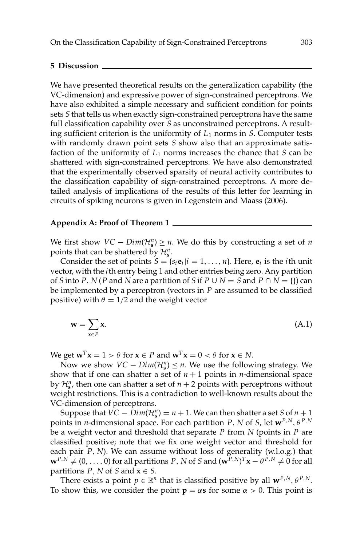#### **5 Discussion**

We have presented theoretical results on the generalization capability (the VC-dimension) and expressive power of sign-constrained perceptrons. We have also exhibited a simple necessary and sufficient condition for points sets *S* that tells us when exactly sign-constrained perceptrons have the same full classification capability over *S* as unconstrained perceptrons. A resulting sufficient criterion is the uniformity of  $L_1$  norms in *S*. Computer tests with randomly drawn point sets *S* show also that an approximate satisfaction of the uniformity of  $L_1$  norms increases the chance that *S* can be shattered with sign-constrained perceptrons. We have also demonstrated that the experimentally observed sparsity of neural activity contributes to the classification capability of sign-constrained perceptrons. A more detailed analysis of implications of the results of this letter for learning in circuits of spiking neurons is given in Legenstein and Maass (2006).

#### **Appendix A: Proof of Theorem 1**

We first show  $VC - Dim(\mathcal{H}_s^n) \ge n$ . We do this by constructing a set of *n* points that can be shattered by  $\mathcal{H}_{s}^{n}$ .

Consider the set of points  $S = \{s_i \mathbf{e}_i | i = 1, \ldots, n\}$ . Here,  $\mathbf{e}_i$  is the *i*th unit vector, with the *i*th entry being 1 and other entries being zero. Any partition of *S* into *P*, *N* (*P* and *N* are a partition of *S* if  $P \cup N = S$  and  $P \cap N = \{\}$ ) can be implemented by a perceptron (vectors in *P* are assumed to be classified positive) with  $\theta = 1/2$  and the weight vector

$$
\mathbf{w} = \sum_{\mathbf{x} \in P} \mathbf{x}.\tag{A.1}
$$

We get  $\mathbf{w}^T \mathbf{x} = 1 > \theta$  for  $\mathbf{x} \in P$  and  $\mathbf{w}^T \mathbf{x} = 0 < \theta$  for  $\mathbf{x} \in N$ .

Now we show  $VC - Dim(\mathcal{H}_{s}^{n}) \leq n$ . We use the following strategy. We show that if one can shatter a set of  $n + 1$  points in *n*-dimensional space by  $\mathcal{H}_s^n$ , then one can shatter a set of  $n+2$  points with perceptrons without weight restrictions. This is a contradiction to well-known results about the VC-dimension of perceptrons.

Suppose that  $VC - Dim(\mathcal{H}_s^n) = n + 1$ . We can then shatter a set *S* of  $n + 1$ points in *n*-dimensional space. For each partition *P*, *N* of *S*, let  $\mathbf{w}^{P,N}$ ,  $\theta^{P,N}$ be a weight vector and threshold that separate *P* from *N* (points in *P* are classified positive; note that we fix one weight vector and threshold for each pair *P*, *N*). We can assume without loss of generality (w.l.o.g.) that  $\mathbf{w}^{P,N} \neq (0,\ldots,0)$  for all partitions *P*, *N* of *S* and  $(\mathbf{w}^{P,N})^T\mathbf{x} - \theta^{P,N} \neq 0$  for all partitions *P*, *N* of *S* and  $x \in S$ .

There exists a point  $p \in \mathbb{R}^n$  that is classified positive by all  $\mathbf{w}^{P,N}, \theta^{P,N}$ . To show this, we consider the point  $p = \alpha s$  for some  $\alpha > 0$ . This point is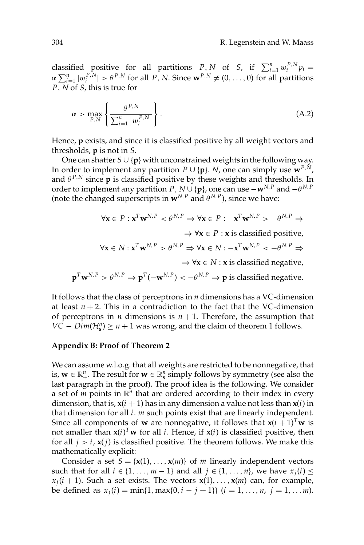classified positive for all partitions *P*, *N* of *S*, if  $\sum_{i=1}^{n} w_i^{P,N} p_i =$  $\alpha \sum_{i=1}^{n} |w_i^{P,N}| > \theta^{P,N}$  for all *P*, *N*. Since  $\mathbf{w}^{P,N} \neq (0,\ldots,0)$  for all partitions *P*, *N* of *S*, this is true for

$$
\alpha > \max_{P,N} \left\{ \frac{\theta^{P,N}}{\sum_{i=1}^{n} |w_i^{P,N}|} \right\}.
$$
\n(A.2)

Hence, **p** exists, and since it is classified positive by all weight vectors and thresholds, **p** is not in *S*.

One can shatter *S* ∪ {**p**} with unconstrained weights in the following way. In order to implement any partition  $P \cup \{p\}$ , *N*, one can simply use  $\mathbf{w}^{P,N}$ , and  $\theta^{P,N}$  since **p** is classified positive by these weights and thresholds. In order to implement any partition *P*,  $N \cup \{p\}$ , one can use  $-\mathbf{w}^{N,P}$  and  $-\theta^{N,P}$ (note the changed superscripts in  $\mathbf{w}^{N,P}$  and  $\theta^{N,P}$ ), since we have:

$$
\forall \mathbf{x} \in P: \mathbf{x}^T \mathbf{w}^{N,P} < \theta^{N,P} \Rightarrow \forall \mathbf{x} \in P: -\mathbf{x}^T \mathbf{w}^{N,P} > -\theta^{N,P} \Rightarrow
$$

 $\Rightarrow \forall x \in P : x$  is classified positive,

$$
\forall \mathbf{x} \in N : \mathbf{x}^T \mathbf{w}^{N,P} > \theta^{N,P} \Rightarrow \forall \mathbf{x} \in N : -\mathbf{x}^T \mathbf{w}^{N,P} < -\theta^{N,P} \Rightarrow
$$

⇒ ∀**x** ∈ *N* : **x** is classified negative,

$$
\mathbf{p}^T \mathbf{w}^{N,P} > \theta^{N,P} \Rightarrow \mathbf{p}^T(-\mathbf{w}^{N,P}) < -\theta^{N,P} \Rightarrow \mathbf{p}
$$
 is classified negative.

It follows that the class of perceptrons in *n* dimensions has a VC-dimension at least  $n + 2$ . This in a contradiction to the fact that the VC-dimension of perceptrons in *n* dimensions is  $n + 1$ . Therefore, the assumption that *VC* – *Dim*( $\mathcal{H}_s^n$ )  $\geq n+1$  was wrong, and the claim of theorem 1 follows.

### **Appendix B: Proof of Theorem 2**

We can assume w.l.o.g. that all weights are restricted to be nonnegative, that is,  $\mathbf{w} \in \mathbb{R}_+^n$ . The result for  $\mathbf{w} \in \mathbb{R}_s^n$  simply follows by symmetry (see also the last paragraph in the proof). The proof idea is the following. We consider a set of *m* points in  $\mathbb{R}^n$  that are ordered according to their index in every dimension, that is,  $\mathbf{x}(i + 1)$  has in any dimension a value not less than  $\mathbf{x}(i)$  in that dimension for all *i*. *m* such points exist that are linearly independent. Since all components of **w** are nonnegative, it follows that  $\mathbf{x}(i + 1)^{T}\mathbf{w}$  is not smaller than  $\mathbf{x}(i)^T \mathbf{w}$  for all *i*. Hence, if  $\mathbf{x}(i)$  is classified positive, then for all  $j > i$ ,  $\mathbf{x}(j)$  is classified positive. The theorem follows. We make this mathematically explicit:

Consider a set  $S = \{x(1), \ldots, x(m)\}\$  of *m* linearly independent vectors such that for all  $i \in \{1, \ldots, m-1\}$  and all  $j \in \{1, \ldots, n\}$ , we have  $x_j(i) \leq j$  $x_j(i + 1)$ . Such a set exists. The vectors  $x(1), \ldots, x(m)$  can, for example, be defined as  $x_j(i) = \min\{1, \max\{0, i - j + 1\}\}$   $(i = 1, \ldots, n, j = 1, \ldots, m)$ .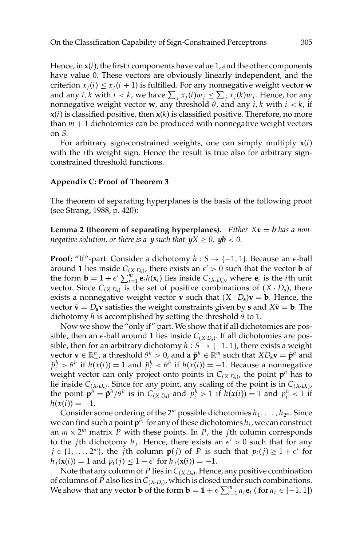Hence, in **x**(*i*), the first*i* components have value 1, and the other components have value 0. These vectors are obviously linearly independent, and the criterion  $x_i(i) \leq x_i(i + 1)$  is fulfilled. For any nonnegative weight vector **w** and any *i*, *k* with  $i < k$ , we have  $\sum_j x_j(i)w_j \leq \sum_j x_j(k)w_j$ . Hence, for any nonnegative weight vector **w**, any threshold  $\theta$ , and any *i*, *k* with  $i < k$ , if  **is classified positive, then**  $**x**(*k*)$  **is classified positive. Therefore, no more** than  $m + 1$  dichotomies can be produced with nonnegative weight vectors on *S*.

For arbitrary sign-constrained weights, one can simply multiply **x**(*i*) with the *i*th weight sign. Hence the result is true also for arbitrary signconstrained threshold functions.

### **Appendix C: Proof of Theorem 3**

The theorem of separating hyperplanes is the basis of the following proof (see Strang, 1988, p. 420):

**Lemma 2 (theorem of separating hyperplanes).** *Either*  $Xv = b$  *has a nonnegative solution, or there is a <i>y* such that  $yX \geq 0$ ,  $yb < 0$ .

**Proof:** "If"-part: Consider a dichotomy  $h : S \rightarrow \{-1, 1\}$ . Because an  $\epsilon$ -ball around **1** lies inside  $C_{(X \cdot D_s)}$ , there exists an  $\epsilon' > 0$  such that the vector **b** of the form  $\mathbf{b} = \mathbf{1} + \epsilon' \sum_{i=1}^{m} \mathbf{e}_i h(\mathbf{x}_i)$  lies inside  $C_{(X \cdot D_s)}$ , where  $\mathbf{e}_i$  is the *i*th unit vector. Since  $C_{(X \cdot D_s)}$  is the set of positive combinations of  $(X \cdot D_s)$ , there exists a nonnegative weight vector **v** such that  $(X \cdot D_s)\mathbf{v} = \mathbf{b}$ . Hence, the vector  $\tilde{\mathbf{v}} = D_s \mathbf{v}$  satisfies the weight constraints given by **s** and  $X\tilde{\mathbf{v}} = \mathbf{b}$ . The dichotomy *h* is accomplished by setting the threshold  $\theta$  to 1.

Now we show the "only if" part. We show that if all dichotomies are possible, then an  $\epsilon$ -ball around 1 lies inside  $C_{(X \cdot D_s)}$ . If all dichotomies are possible, then for an arbitrary dichotomy  $h : S \rightarrow \{-1, 1\}$ , there exists a weight  $\mathbf{v} \in \mathbb{R}_+^n$ , a threshold  $\theta^h > 0$ , and a  $\mathbf{\tilde{p}}^h \in \mathbb{R}^m$  such that  $XD_s \mathbf{v} = \mathbf{\tilde{p}}^h$  and  $\tilde{p}_i^h > \theta^h$  if  $h(x(i)) = 1$  and  $\tilde{p}_i^h < \theta^h$  if  $h(x(i)) = -1$ . Because a nonnegative weight vector can only project onto points in  $C_{(X \cdot D_*)}$ , the point  $p^h$  has to lie inside  $C_{(X \cdot D_s)}$ . Since for any point, any scaling of the point is in  $C_{(X \cdot D_s)}$ , the point  $\mathbf{p}^h = \tilde{\mathbf{p}}^h / \theta^h$  is in  $C_{(X \cdot D_s)}$  and  $p_i^h > 1$  if  $h(x(i)) = 1$  and  $p_i^h < 1$  if  $h(x(i)) = -1.$ 

Consider some ordering of the  $2^m$  possible dichotomies  $h_1, \ldots, h_{2^m}$ . Since we can find such a point  $p^{h_i}$  for any of these dichotomies  $h_i$ , we can construct an  $m \times 2^m$  matrix P with these points. In P, the *j*th column corresponds to the *j*th dichotomy  $h_j$ . Hence, there exists an  $\epsilon' > 0$  such that for any *j* ∈ {1, ..., 2<sup>*m*</sup>}, the *j*th column **p**(*j*) of *P* is such that  $p_i(j) \ge 1 + \epsilon'$  for  $h_i(\mathbf{x}(i)) = 1$  and  $p_i(j) \leq 1 - \epsilon'$  for  $h_i(\mathbf{x}(i)) = -1$ .

Note that any column of *P* lies in*C*(*X*·*D***s**). Hence, any positive combination of columns of *P* also lies in*C*(*X*·*D***s**), which is closed under such combinations. We show that any vector **b** of the form  $\mathbf{b} = \mathbf{1} + \epsilon \sum_{i=1}^{m} a_i \mathbf{e}_i$  (for  $a_i \in [-1, 1]$ )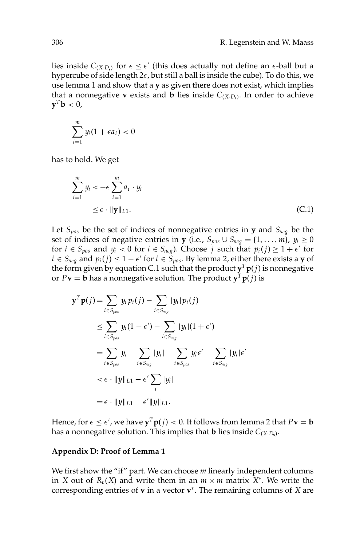lies inside  $C_{(X \cdot D_s)}$  for  $\epsilon \leq \epsilon'$  (this does actually not define an  $\epsilon$ -ball but a hypercube of side length  $2\epsilon$ , but still a ball is inside the cube). To do this, we use lemma 1 and show that a **y** as given there does not exist, which implies that a nonnegative **v** exists and **b** lies inside  $C_{(X,D_0)}$ . In order to achieve  $\mathbf{y}^T \mathbf{b} < 0$ ,

$$
\sum_{i=1}^m y_i(1+\epsilon a_i)<0
$$

has to hold. We get

$$
\sum_{i=1}^{m} y_i < -\epsilon \sum_{i=1}^{m} a_i \cdot y_i
$$
  
\n
$$
\leq \epsilon \cdot ||\mathbf{y}||_{L1}.
$$
\n(C.1)

Let *Spos* be the set of indices of nonnegative entries in **y** and *Sneg* be the set of indices of negative entries in **y** (i.e.,  $S_{pos} \cup S_{neg} = \{1, \ldots, m\}$ ,  $y_i \ge 0$ for  $i \in S_{pos}$  and  $y_i < 0$  for  $i \in S_{neg}$ ). Choose *j* such that  $p_i(j) \geq 1 + \epsilon'$  for *i* ∈ *S<sub>neg</sub>* and  $p_i(j)$  ≤ 1 −  $\epsilon'$  for *i* ∈ *S<sub>pos</sub>*. By lemma 2, either there exists a **y** of the form given by equation C.1 such that the product  $y^T p(j)$  is nonnegative or  $P$ **v** = **b** has a nonnegative solution. The product **y**<sup>*T*</sup> **p**(*j*) is

$$
\mathbf{y}^T \mathbf{p}(j) = \sum_{i \in S_{pos}} y_i p_i(j) - \sum_{i \in S_{neg}} |y_i| p_i(j)
$$
  
\n
$$
\leq \sum_{i \in S_{pos}} y_i (1 - \epsilon') - \sum_{i \in S_{neg}} |y_i| (1 + \epsilon')
$$
  
\n
$$
= \sum_{i \in S_{pos}} y_i - \sum_{i \in S_{neg}} |y_i| - \sum_{i \in S_{pos}} y_i \epsilon' - \sum_{i \in S_{neg}} |y_i| \epsilon'
$$
  
\n
$$
< \epsilon \cdot ||y||_{L1} - \epsilon' \sum_{i} |y_i|
$$
  
\n
$$
= \epsilon \cdot ||y||_{L1} - \epsilon' ||y||_{L1}.
$$

Hence, for  $\epsilon \leq \epsilon'$  , we have  $\mathbf{y}^T \mathbf{p}(j) < 0$ . It follows from lemma 2 that  $P \mathbf{v} = \mathbf{b}$ has a nonnegative solution. This implies that **b** lies inside  $C_{(X \cdot D_s)}$ .

#### **Appendix D: Proof of Lemma 1**

We first show the "if" part. We can choose *m* linearly independent columns in *X* out of  $R_v(X)$  and write them in an  $m \times m$  matrix  $X^*$ . We write the corresponding entries of **v** in a vector **v**<sup>∗</sup>. The remaining columns of *X* are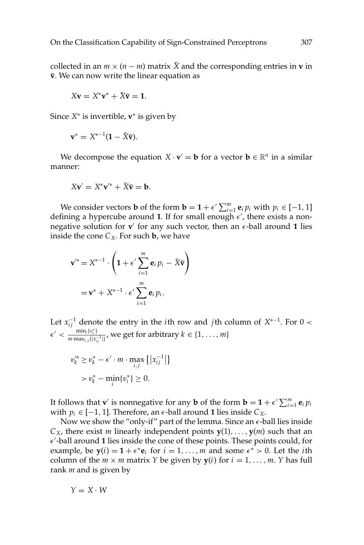collected in an  $m \times (n - m)$  matrix X and the corresponding entries in **v** in  $\bar{v}$ . We can now write the linear equation as

$$
X\mathbf{v} = X^*\mathbf{v}^* + \bar{X}\bar{\mathbf{v}} = \mathbf{1}.
$$

Since *X*<sup>∗</sup> is invertible, **v**<sup>∗</sup> is given by

$$
\mathbf{v}^* = X^{*-1}(\mathbf{1} - \bar{X}\bar{\mathbf{v}}).
$$

We decompose the equation  $X \cdot \mathbf{v}' = \mathbf{b}$  for a vector  $\mathbf{b} \in \mathbb{R}^n$  in a similar manner:

$$
X\mathbf{v}' = X^*\mathbf{v}'^* + \bar{X}\bar{\mathbf{v}} = \mathbf{b}.
$$

We consider vectors **b** of the form **b** = **1** +  $\epsilon' \sum_{i=1}^{m} \mathbf{e}_i p_i$  with  $p_i \in [-1, 1]$ defining a hypercube around 1. If for small enough  $\epsilon'$ , there exists a nonnegative solution for  $v'$  for any such vector, then an  $\epsilon$ -ball around 1 lies inside the cone  $C_X$ . For such **b**, we have

$$
\mathbf{v}'^* = X^{*-1} \cdot \left( \mathbf{1} + \epsilon' \sum_{i=1}^m \mathbf{e}_i p_i - \bar{X} \bar{\mathbf{v}} \right)
$$

$$
= \mathbf{v}^* + X^{*-1} \cdot \epsilon' \sum_{i=1}^m \mathbf{e}_i p_i.
$$

Let  $x_{ij}^{-1}$  denote the entry in the *i*th row and *j*th column of  $X^{*-1}$ . For 0 <  $\epsilon' < \frac{\min_i \{v_i^*\}}{m \max_i \{v_i^*\}}$  $\frac{\min_i \{v_i^i\}}{m \cdot \max_{i,j} \{|x_{ij}^{-1}|\}}$ , we get for arbitrary  $k \in \{1, \ldots, m\}$ 

$$
v_k^{\prime*} \ge v_k^* - \epsilon' \cdot m \cdot \max_{i,j} \{|x_{ij}^{-1}|\}
$$
  
> 
$$
v_k^* - \min_i \{v_i^*\} \ge 0.
$$

It follows that **v**<sup>*'*</sup> is nonnegative for any **b** of the form  $\mathbf{b} = \mathbf{1} + \epsilon' \sum_{i=1}^{m} \mathbf{e}_i p_i$ with  $p_i$  ∈ [-1, 1]. Therefore, an  $\epsilon$ -ball around **1** lies inside  $C_X$ .

Now we show the "only-if" part of the lemma. Since an  $\epsilon$ -ball lies inside  $C_X$ , there exist *m* linearly independent points  $\mathbf{y}(1), \ldots, \mathbf{y}(m)$  such that an  $\epsilon'$ -ball around 1 lies inside the cone of these points. These points could, for example, be  $y(i) = 1 + \epsilon^* e_i$  for  $i = 1, ..., m$  and some  $\epsilon^* > 0$ . Let the *i*th column of the  $m \times m$  matrix *Y* be given by  $y(i)$  for  $i = 1, \ldots, m$ . *Y* has full rank *m* and is given by

$$
Y=X\cdot W
$$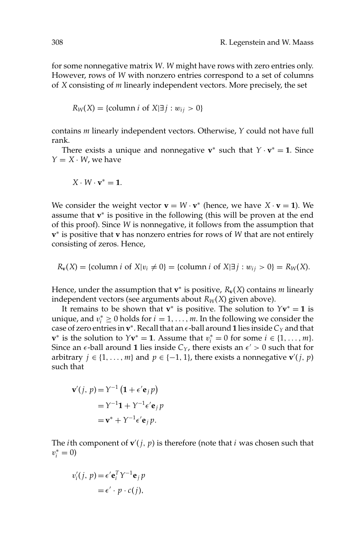for some nonnegative matrix *W*. *W* might have rows with zero entries only. However, rows of *W* with nonzero entries correspond to a set of columns of *X* consisting of *m* linearly independent vectors. More precisely, the set

$$
R_W(X) = \{ \text{column } i \text{ of } X | \exists j : w_{ij} > 0 \}
$$

contains *m* linearly independent vectors. Otherwise, *Y* could not have full rank.

There exists a unique and nonnegative **v**<sup>∗</sup> such that  $Y \cdot \mathbf{v}^* = 1$ . Since  $Y = X \cdot W$ , we have

$$
X\cdot W\cdot \mathbf{v}^*=\mathbf{1}.
$$

We consider the weight vector  $\mathbf{v} = W \cdot \mathbf{v}^*$  (hence, we have  $X \cdot \mathbf{v} = 1$ ). We assume that **v**<sup>∗</sup> is positive in the following (this will be proven at the end of this proof). Since *W* is nonnegative, it follows from the assumption that **v**<sup>∗</sup> is positive that **v** has nonzero entries for rows of *W* that are not entirely consisting of zeros. Hence,

$$
R_{\mathbf{v}}(X) = \{\text{column } i \text{ of } X | v_i \neq 0\} = \{\text{column } i \text{ of } X | \exists j : w_{ij} > 0\} = R_W(X).
$$

Hence, under the assumption that **v**<sup>∗</sup> is positive, *R***v**(*X*) contains *m* linearly independent vectors (see arguments about  $R_W(X)$  given above).

It remains to be shown that **v**<sup>∗</sup> is positive. The solution to  $Y$ **v**<sup>\*</sup> = **1** is unique, and  $v_i^* \geq 0$  holds for  $i = 1, ..., m$ . In the following we consider the case of zero entries in  $\mathbf{v}^*$ . Recall that an  $\epsilon$ -ball around 1 lies inside  $C_Y$  and that **v**<sup>∗</sup> is the solution to  $Y$ **v**<sup>\*</sup> = **1**. Assume that  $v_i^* = 0$  for some  $i \in \{1, ..., m\}$ . Since an  $\epsilon$ -ball around **1** lies inside  $C_Y$ , there exists an  $\epsilon' > 0$  such that for arbitrary  $j \in \{1, ..., m\}$  and  $p \in \{-1, 1\}$ , there exists a nonnegative  $\mathbf{v}'(j, p)$ such that

$$
\mathbf{v}'(j, p) = Y^{-1} \left( \mathbf{1} + \epsilon' \mathbf{e}_j p \right)
$$
  
=  $Y^{-1} \mathbf{1} + Y^{-1} \epsilon' \mathbf{e}_j p$   
=  $\mathbf{v}^* + Y^{-1} \epsilon' \mathbf{e}_j p$ .

The *i*th component of  $\mathbf{v}'(j, p)$  is therefore (note that *i* was chosen such that  $v_i^* = 0$ 

$$
v'_{i}(j, p) = \epsilon' \mathbf{e}_{i}^{T} Y^{-1} \mathbf{e}_{j} p
$$

$$
= \epsilon' \cdot p \cdot c(j),
$$